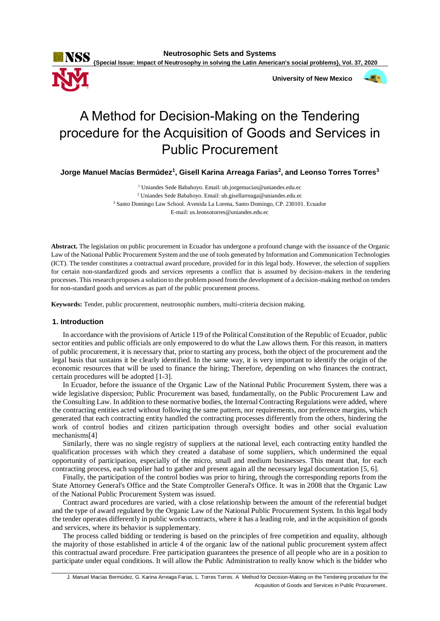

 **University of New Mexico**



# A Method for Decision-Making on the Tendering procedure for the Acquisition of Goods and Services in Public Procurement

**Jorge Manuel Macías Bermúdez<sup>1</sup> , Gisell Karina Arreaga Farias<sup>2</sup> , and Leonso Torres Torres<sup>3</sup>**

 Uniandes Sede Babahoyo. Email: ub.jorgemacias@uniandes.edu.ec Uniandes Sede Babahoyo. Email: ub.gisellarreaga@uniandes.edu.ec Santo Domingo Law School. Avenida La Lorena, Santo Domingo, CP. 230101. Ecuador E-mail: us.leonsotorres@uniandes.edu.ec

**Abstract.** The legislation on public procurement in Ecuador has undergone a profound change with the issuance of the Organic Law of the National Public Procurement System and the use of tools generated by Information and Communication Technologies (ICT). The tender constitutes a contractual award procedure, provided for in this legal body. However, the selection of suppliers for certain non-standardized goods and services represents a conflict that is assumed by decision-makers in the tendering processes. This research proposes a solution to the problem posed from the development of a decision-making method on tenders for non-standard goods and services as part of the public procurement process.

**Keywords:** Tender, public procurement, neutrosophic numbers, multi-criteria decision making.

## **1. Introduction**

In accordance with the provisions of Article 119 of the Political Constitution of the Republic of Ecuador, public sector entities and public officials are only empowered to do what the Law allows them. For this reason, in matters of public procurement, it is necessary that, prior to starting any process, both the object of the procurement and the legal basis that sustains it be clearly identified. In the same way, it is very important to identify the origin of the economic resources that will be used to finance the hiring; Therefore, depending on who finances the contract, certain procedures will be adopted [\[1-3\]](#page-5-0).

In Ecuador, before the issuance of the Organic Law of the National Public Procurement System, there was a wide legislative dispersion; Public Procurement was based, fundamentally, on the Public Procurement Law and the Consulting Law. In addition to these normative bodies, the Internal Contracting Regulations were added, where the contracting entities acted without following the same pattern, nor requirements, nor preference margins, which generated that each contracting entity handled the contracting processes differently from the others, hindering the work of control bodies and citizen participation through oversight bodies and other social evaluation mechanisms[\[4\]](#page-5-1)

Similarly, there was no single registry of suppliers at the national level, each contracting entity handled the qualification processes with which they created a database of some suppliers, which undermined the equal opportunity of participation, especially of the micro, small and medium businesses. This meant that, for each contracting process, each supplier had to gather and present again all the necessary legal documentation [\[5,](#page-5-2) [6\]](#page-5-3).

Finally, the participation of the control bodies was prior to hiring, through the corresponding reports from the State Attorney General's Office and the State Comptroller General's Office. It was in 2008 that the Organic Law of the National Public Procurement System was issued.

Contract award procedures are varied, with a close relationship between the amount of the referential budget and the type of award regulated by the Organic Law of the National Public Procurement System. In this legal body the tender operates differently in public works contracts, where it has a leading role, and in the acquisition of goods and services, where its behavior is supplementary.

The process called bidding or tendering is based on the principles of free competition and equality, although the majority of those established in article 4 of the organic law of the national public procurement system affect this contractual award procedure. Free participation guarantees the presence of all people who are in a position to participate under equal conditions. It will allow the Public Administration to really know which is the bidder who

J. Manuel Macías Bermúdez, G. Karina Arreaga Farias, L. Torres Torres. A Method for Decision-Making on the Tendering procedure for the Acquisition of Goods and Services in Public Procurement.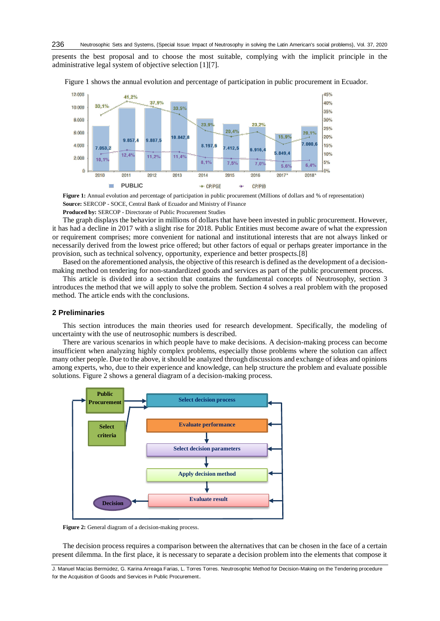presents the best proposal and to choose the most suitable, complying with the implicit principle in the administrative legal system of objective selection [1][\[7\]](#page-5-4).



Figure 1 shows the annual evolution and percentage of participation in public procurement in Ecuador.

**Figure 1:** Annual evolution and percentage of participation in public procurement (Millions of dollars and % of representation) **Source:** SERCOP - SOCE, Central Bank of Ecuador and Ministry of Finance

**Produced by:** SERCOP - Directorate of Public Procurement Studies

The graph displays the behavior in millions of dollars that have been invested in public procurement. However, it has had a decline in 2017 with a slight rise for 2018. Public Entities must become aware of what the expression or requirement comprises; more convenient for national and institutional interests that are not always linked or necessarily derived from the lowest price offered; but other factors of equal or perhaps greater importance in the provision, such as technical solvency, opportunity, experience and better prospects.[\[8\]](#page-5-5)

Based on the aforementioned analysis, the objective of this research is defined as the development of a decisionmaking method on tendering for non-standardized goods and services as part of the public procurement process.

This article is divided into a section that contains the fundamental concepts of Neutrosophy, section 3 introduces the method that we will apply to solve the problem. Section 4 solves a real problem with the proposed method. The article ends with the conclusions.

### **2 Preliminaries**

This section introduces the main theories used for research development. Specifically, the modeling of uncertainty with the use of neutrosophic numbers is described.

There are various scenarios in which people have to make decisions. A decision-making process can become insufficient when analyzing highly complex problems, especially those problems where the solution can affect many other people. Due to the above, it should be analyzed through discussions and exchange of ideas and opinions among experts, who, due to their experience and knowledge, can help structure the problem and evaluate possible solutions. Figure 2 shows a general diagram of a decision-making process.



**Figure 2:** General diagram of a decision-making process.

The decision process requires a comparison between the alternatives that can be chosen in the face of a certain present dilemma. In the first place, it is necessary to separate a decision problem into the elements that compose it

J. Manuel Macías Bermúdez, G. Karina Arreaga Farias, L. Torres Torres. Neutrosophic Method for Decision-Making on the Tendering procedure for the Acquisition of Goods and Services in Public Procurement.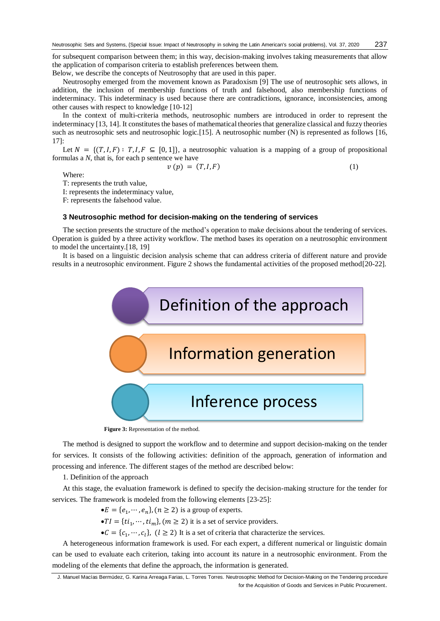for subsequent comparison between them; in this way, decision-making involves taking measurements that allow the application of comparison criteria to establish preferences between them.

Below, we describe the concepts of Neutrosophy that are used in this paper.

Neutrosophy emerged from the movement known as Paradoxism [\[9\]](#page-5-6) The use of neutrosophic sets allows, in addition, the inclusion of membership functions of truth and falsehood, also membership functions of indeterminacy. This indeterminacy is used because there are contradictions, ignorance, inconsistencies, among other causes with respect to knowledge [\[10-12\]](#page-5-7)

In the context of multi-criteria methods, neutrosophic numbers are introduced in order to represent the indeterminacy [\[13,](#page-5-8) [14\]](#page-5-9). It constitutes the bases of mathematical theories that generalize classical and fuzzy theories such as neutrosophic sets and neutrosophic logic.[\[15\]](#page-5-10). A neutrosophic number (N) is represented as follows [\[16,](#page-5-11) [17\]](#page-5-12):

Let  $N = \{(T, I, F) : T, I, F \subseteq [0, 1]\}$ , a neutrosophic valuation is a mapping of a group of propositional formulas a *N*, that is, for each p sentence we have

 $v(p) = (T, I, F)$  (1)

Where:

T: represents the truth value,

I: represents the indeterminacy value,

F: represents the falsehood value.

#### **3 Neutrosophic method for decision-making on the tendering of services**

The section presents the structure of the method's operation to make decisions about the tendering of services. Operation is guided by a three activity workflow. The method bases its operation on a neutrosophic environment to model the uncertainty.[\[18,](#page-5-13) [19\]](#page-6-0)

It is based on a linguistic decision analysis scheme that can address criteria of different nature and provide results in a neutrosophic environment. Figure 2 shows the fundamental activities of the proposed method[\[20-22\]](#page-6-1).



 **Figure 3:** Representation of the method.

The method is designed to support the workflow and to determine and support decision-making on the tender for services. It consists of the following activities: definition of the approach, generation of information and processing and inference. The different stages of the method are described below:

1. Definition of the approach

At this stage, the evaluation framework is defined to specify the decision-making structure for the tender for services. The framework is modeled from the following elements [\[23-25\]](#page-6-2):

 $\bullet E = \{e_1, \cdots, e_n\}, (n \ge 2)$  is a group of experts.

 $\bullet TI = \{ti_1, \cdots, ti_m\}, (m \geq 2)$  it is a set of service providers.

 $\bullet C = \{c_1, \dots, c_l\}, \ (l \geq 2)$  It is a set of criteria that characterize the services.

A heterogeneous information framework is used. For each expert, a different numerical or linguistic domain can be used to evaluate each criterion, taking into account its nature in a neutrosophic environment. From the modeling of the elements that define the approach, the information is generated.

J. Manuel Macías Bermúdez, G. Karina Arreaga Farias, L. Torres Torres. Neutrosophic Method for Decision-Making on the Tendering procedure for the Acquisition of Goods and Services in Public Procurement.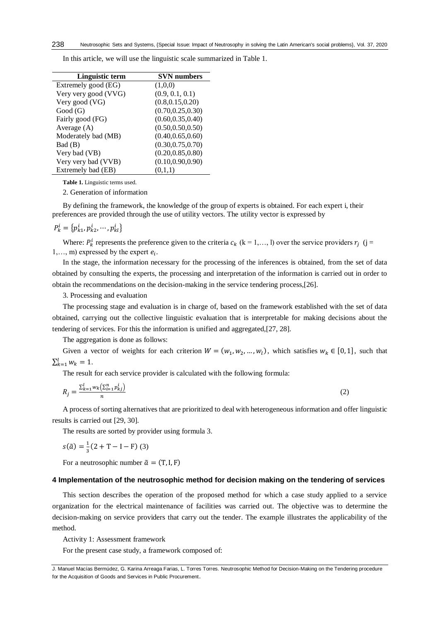| Linguistic term      | <b>SVN</b> numbers |
|----------------------|--------------------|
| Extremely good (EG)  | (1,0,0)            |
| Very very good (VVG) | (0.9, 0.1, 0.1)    |
| Very good (VG)       | (0.8, 0.15, 0.20)  |
| Good(G)              | (0.70, 0.25, 0.30) |
| Fairly good (FG)     | (0.60, 0.35, 0.40) |
| Average $(A)$        | (0.50, 0.50, 0.50) |
| Moderately bad (MB)  | (0.40, 0.65, 0.60) |
| Bad (B)              | (0.30, 0.75, 0.70) |
| Very bad (VB)        | (0.20, 0.85, 0.80) |
| Very very bad (VVB)  | (0.10, 0.90, 0.90) |
| Extremely bad (EB)   | (0,1,1)            |

In this article, we will use the linguistic scale summarized in Table 1.

**Table 1.** Linguistic terms used.

2. Generation of information

By defining the framework, the knowledge of the group of experts is obtained. For each expert i, their preferences are provided through the use of utility vectors. The utility vector is expressed by

$$
P_k^i = \{p_{k1}^i, p_{k2}^i, \cdots, p_{kl}^i\}
$$

Where:  $P_k^i$  represents the preference given to the criteria  $c_k$  (k = 1,..., l) over the service providers  $r_j$  (j = 1,..., m) expressed by the expert  $e_i$ .

In the stage, the information necessary for the processing of the inferences is obtained, from the set of data obtained by consulting the experts, the processing and interpretation of the information is carried out in order to obtain the recommendations on the decision-making in the service tendering process,[\[26\]](#page-6-3).

3. Processing and evaluation

The processing stage and evaluation is in charge of, based on the framework established with the set of data obtained, carrying out the collective linguistic evaluation that is interpretable for making decisions about the tendering of services. For this the information is unified and aggregated,[\[27,](#page-6-4) [28\]](#page-6-5).

The aggregation is done as follows:

Given a vector of weights for each criterion  $W = (w_1, w_2, ..., w_l)$ , which satisfies  $w_k \in [0, 1]$ , such that  $\sum_{k=1}^{l} w_k = 1.$ 

The result for each service provider is calculated with the following formula:

$$
R_j = \frac{\sum_{k=1}^{l} w_k \left(\sum_{i=1}^{n} p_{kj}^i\right)}{n} \tag{2}
$$

A process of sorting alternatives that are prioritized to deal with heterogeneous information and offer linguistic results is carried out [\[29,](#page-6-6) [30\]](#page-6-7).

The results are sorted by provider using formula 3.

$$
s(\tilde{a}) = \frac{1}{3}(2 + T - I - F) (3)
$$

For a neutrosophic number  $\tilde{a} = (T, I, F)$ 

## **4 Implementation of the neutrosophic method for decision making on the tendering of services**

This section describes the operation of the proposed method for which a case study applied to a service organization for the electrical maintenance of facilities was carried out. The objective was to determine the decision-making on service providers that carry out the tender. The example illustrates the applicability of the method.

Activity 1: Assessment framework

For the present case study, a framework composed of:

J. Manuel Macías Bermúdez, G. Karina Arreaga Farias, L. Torres Torres. Neutrosophic Method for Decision-Making on the Tendering procedure for the Acquisition of Goods and Services in Public Procurement.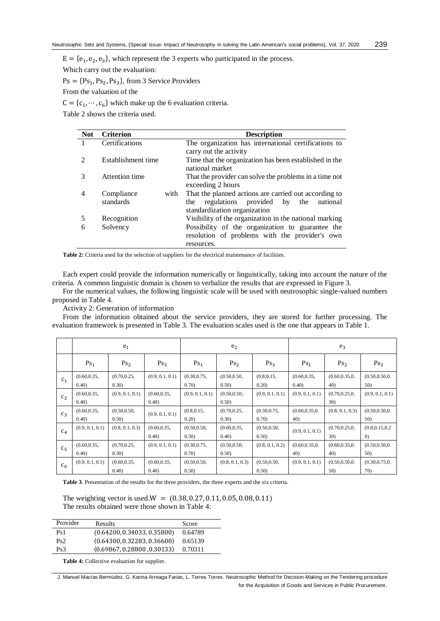$E = {e<sub>1</sub>, e<sub>2</sub>, e<sub>3</sub>},$  which represent the 3 experts who participated in the process.

Which carry out the evaluation:

 $Ps = \{Ps_1, Ps_2, Ps_3\}$ , from 3 Service Providers

From the valuation of the

 $C = \{c_1, \dots, c_6\}$  which make up the 6 evaluation criteria.

Table 2 shows the criteria used.

| <b>Not</b> | <b>Criterion</b>   | <b>Description</b>                                     |  |  |
|------------|--------------------|--------------------------------------------------------|--|--|
|            | Certifications     | The organization has international certifications to   |  |  |
|            |                    | carry out the activity                                 |  |  |
| 2          | Establishment time | Time that the organization has been established in the |  |  |
|            |                    | national market                                        |  |  |
| 3          | Attention time     | That the provider can solve the problems in a time not |  |  |
|            |                    | exceeding 2 hours                                      |  |  |
| 4          | Compliance<br>with | That the planned actions are carried out according to  |  |  |
|            | standards          | regulations provided by the<br>national<br>the         |  |  |
|            |                    | standardization organization                           |  |  |
| 5          | Recognition        | Visibility of the organization in the national marking |  |  |
| 6          | Solvency           | Possibility of the organization to guarantee the       |  |  |
|            |                    | resolution of problems with the provider's own         |  |  |
|            |                    | resources.                                             |  |  |

**Table 2:** Criteria used for the selection of suppliers for the electrical maintenance of facilities.

Each expert could provide the information numerically or linguistically, taking into account the nature of the criteria. A common linguistic domain is chosen to verbalize the results that are expressed in Figure 3.

For the numerical values, the following linguistic scale will be used with neutrosophic single-valued numbers proposed in Table 4.

Activity 2: Generation of information

From the information obtained about the service providers, they are stored for further processing. The evaluation framework is presented in Table 3. The evaluation scales used is the one that appears in Table 1.

|                | e <sub>1</sub>         |                        |                        | e <sub>2</sub>         |                        | $e_3$                 |                        |                        |                                       |
|----------------|------------------------|------------------------|------------------------|------------------------|------------------------|-----------------------|------------------------|------------------------|---------------------------------------|
|                | Ps <sub>1</sub>        | Ps <sub>2</sub>        | Ps <sub>3</sub>        | Ps <sub>1</sub>        | Ps <sub>2</sub>        | Ps <sub>3</sub>       | Ps <sub>1</sub>        | Ps <sub>2</sub>        | Ps <sub>3</sub>                       |
| C <sub>1</sub> | (0.60, 0.35,<br>(0.40) | (0.70, 0.25,<br>(0.30) | (0.9, 0.1, 0.1)        | (0.30, 0.75,<br>0.70)  | (0.50, 0.50,<br>0.50)  | (0.8, 0.15,<br>0.20)  | (0.60, 0.35,<br>0.40)  | (0.60, 0.35, 0.<br>40) | (0.50, 0.50, 0.<br>50)                |
| C <sub>2</sub> | (0.60, 0.35,<br>(0.40) | (0.9, 0.1, 0.1)        | (0.60, 0.35,<br>(0.40) | (0.9, 0.1, 0.1)        | (0.50, 0.50,<br>0.50)  | (0.9, 0.1, 0.1)       | (0.9, 0.1, 0.1)        | (0.70, 0.25, 0.<br>30) | (0.9, 0.1, 0.1)                       |
| $C_3$          | (0.60, 0.35,<br>(0.40) | (0.50, 0.50,<br>0.50)  | (0.9, 0.1, 0.1)        | (0.8, 0.15,<br>(0.20)  | (0.70, 0.25,<br>(0.30) | (0.30, 0.75,<br>0.70) | (0.60, 0.35, 0.<br>40) | (0.8, 0.1, 0.3)        | (0.50, 0.50, 0.<br>50)                |
| $C_4$          | (0.9, 0.1, 0.1)        | (0.8, 0.1, 0.3)        | (0.60, 0.35,<br>(0.40) | (0.50, 0.50,<br>0.50)  | (0.60, 0.35,<br>(0.40) | (0.50, 0.50,<br>0.50) | (0.9, 0.1, 0.1)        | (0.70, 0.25, 0.<br>30) | (0.8, 0.15, 0.2)<br>$\left( 0\right)$ |
| C <sub>5</sub> | (0.60, 0.35,<br>(0.40) | (0.70, 0.25,<br>(0.30) | (0.9, 0.1, 0.1)        | (0.30, 0.75,<br>(0.70) | (0.50, 0.50,<br>0.50)  | (0.8, 0.1, 0.2)       | (0.60, 0.35, 0.<br>40) | (0.60, 0.35, 0.<br>40) | (0.50, 0.50, 0.<br>50)                |
| $c_{6}$        | (0.9, 0.1, 0.1)        | (0.60, 0.35,<br>(0.40) | (0.60, 0.35,<br>(0.40) | (0.50, 0.50,<br>0.50   | (0.8, 0.1, 0.3)        | (0.50, 0.50,<br>0.50) | (0.9, 0.1, 0.1)        | (0.50, 0.50, 0.<br>50) | (0.30, 0.75, 0.<br>70)                |

**Table 3**. Presentation of the results for the three providers, the three experts and the six criteria.

The weighting vector is used. $W = (0.38, 0.27, 0.11, 0.05, 0.08, 0.11)$ The results obtained were those shown in Table 4:

| Provider        | <b>Results</b>              | Score   |
|-----------------|-----------------------------|---------|
| Ps1             | (0.64200, 0.34033, 0.35800) | 0.64789 |
| Ps2             | (0.64300, 0.32283, 0.36600) | 0.65139 |
| Ps <sub>3</sub> | (0.69867, 0.28800, 0.30133) | 0.70311 |

**Table 4:** Collective evaluation for supplier.

J. Manuel Macías Bermúdez, G. Karina Arreaga Farias, L. Torres Torres. Neutrosophic Method for Decision-Making on the Tendering procedure for the Acquisition of Goods and Services in Public Procurement.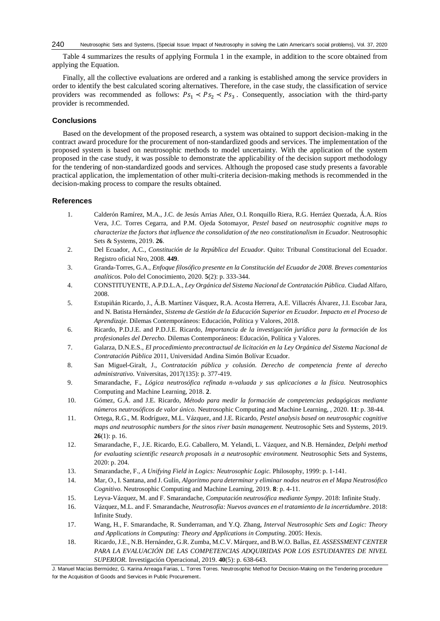Table 4 summarizes the results of applying Formula 1 in the example, in addition to the score obtained from applying the Equation.

Finally, all the collective evaluations are ordered and a ranking is established among the service providers in order to identify the best calculated scoring alternatives. Therefore, in the case study, the classification of service providers was recommended as follows:  $Ps_1 \lt PS_2 \lt PS_3$ . Consequently, association with the third-party provider is recommended.

## **Conclusions**

Based on the development of the proposed research, a system was obtained to support decision-making in the contract award procedure for the procurement of non-standardized goods and services. The implementation of the proposed system is based on neutrosophic methods to model uncertainty. With the application of the system proposed in the case study, it was possible to demonstrate the applicability of the decision support methodology for the tendering of non-standardized goods and services. Although the proposed case study presents a favorable practical application, the implementation of other multi-criteria decision-making methods is recommended in the decision-making process to compare the results obtained.

#### **References**

- <span id="page-5-0"></span>1. Calderón Ramírez, M.A., J.C. de Jesús Arrias Añez, O.I. Ronquillo Riera, R.G. Herráez Quezada, Á.A. Ríos Vera, J.C. Torres Cegarra, and P.M. Ojeda Sotomayor, *Pestel based on neutrosophic cognitive maps to characterize the factors that influence the consolidation of the neo constitutionalism in Ecuador.* Neutrosophic Sets & Systems, 2019. **26**.
- 2. Del Ecuador, A.C., *Constitución de la República del Ecuador.* Quito: Tribunal Constitucional del Ecuador. Registro oficial Nro, 2008. **449**.
- 3. Granda-Torres, G.A., *Enfoque filosófico presente en la Constitución del Ecuador de 2008. Breves comentarios analíticos.* Polo del Conocimiento, 2020. **5**(2): p. 333-344.
- <span id="page-5-1"></span>4. CONSTITUYENTE, A.P.D.L.A., *Ley Orgánica del Sistema Nacional de Contratación Pública.* Ciudad Alfaro, 2008.
- <span id="page-5-2"></span>5. Estupiñán Ricardo, J., Á.B. Martínez Vásquez, R.A. Acosta Herrera, A.E. Villacrés Álvarez, J.I. Escobar Jara, and N. Batista Hernández, *Sistema de Gestión de la Educación Superior en Ecuador. Impacto en el Proceso de Aprendizaje.* Dilemas Contemporáneos: Educación, Política y Valores, 2018.
- <span id="page-5-3"></span>6. Ricardo, P.D.J.E. and P.D.J.E. Ricardo, *Importancia de la investigación jurídica para la formación de los profesionales del Derecho.* Dilemas Contemporáneos: Educación, Política y Valores.
- <span id="page-5-4"></span>7. Galarza, D.N.E.S., *El procedimiento precontractual de licitación en la Ley Orgánica del Sistema Nacional de Contratación Pública* 2011, Universidad Andina Simón Bolívar Ecuador.
- <span id="page-5-5"></span>8. San Miguel-Giralt, J., *Contratación pública y colusión. Derecho de competencia frente al derecho administrativo.* Vniversitas, 2017(135): p. 377-419.
- <span id="page-5-6"></span>9. Smarandache, F., *Lógica neutrosófica refinada n-valuada y sus aplicaciones a la física.* Neutrosophics Computing and Machine Learning, 2018. **2**.
- <span id="page-5-7"></span>10. Gómez, G.Á. and J.E. Ricardo, *Método para medir la formación de competencias pedagógicas mediante números neutrosóficos de valor único.* Neutrosophic Computing and Machine Learning, , 2020. **11**: p. 38-44.
- 11. Ortega, R.G., M. Rodríguez, M.L. Vázquez, and J.E. Ricardo, *Pestel analysis based on neutrosophic cognitive maps and neutrosophic numbers for the sinos river basin management.* Neutrosophic Sets and Systems, 2019. **26**(1): p. 16.
- 12. Smarandache, F., J.E. Ricardo, E.G. Caballero, M. Yelandi, L. Vázquez, and N.B. Hernández, *Delphi method for evaluating scientific research proposals in a neutrosophic environment.* Neutrosophic Sets and Systems, 2020: p. 204.
- <span id="page-5-8"></span>13. Smarandache, F., *A Unifying Field in Logics: Neutrosophic Logic.* Philosophy, 1999: p. 1-141.
- <span id="page-5-9"></span>14. Mar, O., I. Santana, and J. Gulín, *Algoritmo para determinar y eliminar nodos neutros en el Mapa Neutrosófico Cognitivo.* Neutrosophic Computing and Machine Learning, 2019. **8**: p. 4-11.
- <span id="page-5-10"></span>15. Leyva-Vázquez, M. and F. Smarandache, *Computación neutrosófica mediante Sympy*. 2018: Infinite Study.
- <span id="page-5-11"></span>16. Vázquez, M.L. and F. Smarandache, *Neutrosofía: Nuevos avances en el tratamiento de la incertidumbre*. 2018: Infinite Study.
- <span id="page-5-12"></span>17. Wang, H., F. Smarandache, R. Sunderraman, and Y.Q. Zhang, *Interval Neutrosophic Sets and Logic: Theory and Applications in Computing: Theory and Applications in Computing*. 2005: Hexis.
- <span id="page-5-13"></span>18. Ricardo, J.E., N.B. Hernández, G.R. Zumba, M.C.V. Márquez, and B.W.O. Ballas, *EL ASSESSMENT CENTER*  PARA LA EVALUACIÓN DE LAS COMPETENCIAS ADQUIRIDAS POR LOS ESTUDIANTES DE NIVEL *SUPERIOR.* Investigación Operacional, 2019. **40**(5): p. 638-643.

J. Manuel Macías Bermúdez, G. Karina Arreaga Farias, L. Torres Torres. Neutrosophic Method for Decision-Making on the Tendering procedure for the Acquisition of Goods and Services in Public Procurement.